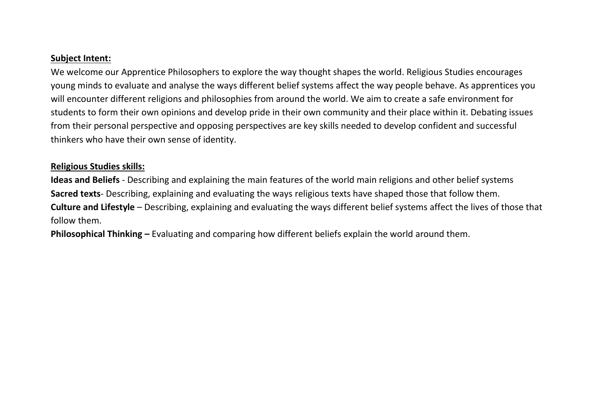## **Subject Intent:**

We welcome our Apprentice Philosophers to explore the way thought shapes the world. Religious Studies encourages young minds to evaluate and analyse the ways different belief systems affect the way people behave. As apprentices you will encounter different religions and philosophies from around the world. We aim to create a safe environment for students to form their own opinions and develop pride in their own community and their place within it. Debating issues from their personal perspective and opposing perspectives are key skills needed to develop confident and successful thinkers who have their own sense of identity.

## **Religious Studies skills:**

**Ideas and Beliefs** - Describing and explaining the main features of the world main religions and other belief systems **Sacred texts**- Describing, explaining and evaluating the ways religious texts have shaped those that follow them. **Culture and Lifestyle** – Describing, explaining and evaluating the ways different belief systems affect the lives of those that follow them.

**Philosophical Thinking –** Evaluating and comparing how different beliefs explain the world around them.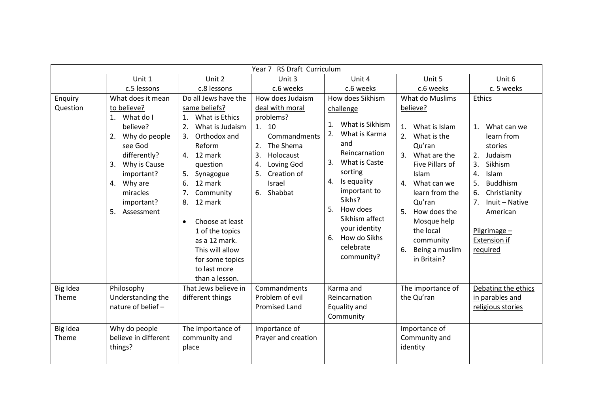| Year 7 RS Draft Curriculum |                                                                                                                                                                                                                |                                                                                                                                                                                                                                                                                                                                                                      |                                                                                                                                                                                            |                                                                                                                                                                                                                                                                                                       |                                                                                                                                                                                                                                                                                                  |                                                                                                                                                                                                                                                                |  |
|----------------------------|----------------------------------------------------------------------------------------------------------------------------------------------------------------------------------------------------------------|----------------------------------------------------------------------------------------------------------------------------------------------------------------------------------------------------------------------------------------------------------------------------------------------------------------------------------------------------------------------|--------------------------------------------------------------------------------------------------------------------------------------------------------------------------------------------|-------------------------------------------------------------------------------------------------------------------------------------------------------------------------------------------------------------------------------------------------------------------------------------------------------|--------------------------------------------------------------------------------------------------------------------------------------------------------------------------------------------------------------------------------------------------------------------------------------------------|----------------------------------------------------------------------------------------------------------------------------------------------------------------------------------------------------------------------------------------------------------------|--|
|                            | Unit 1                                                                                                                                                                                                         | Unit 2                                                                                                                                                                                                                                                                                                                                                               | Unit 3                                                                                                                                                                                     | Unit 4                                                                                                                                                                                                                                                                                                | Unit 5                                                                                                                                                                                                                                                                                           | Unit 6                                                                                                                                                                                                                                                         |  |
|                            | c.5 lessons                                                                                                                                                                                                    | c.8 lessons                                                                                                                                                                                                                                                                                                                                                          | c.6 weeks                                                                                                                                                                                  | c.6 weeks                                                                                                                                                                                                                                                                                             | c.6 weeks                                                                                                                                                                                                                                                                                        | c. 5 weeks                                                                                                                                                                                                                                                     |  |
| Enquiry<br>Question        | What does it mean<br>to believe?<br>1. What do I<br>believe?<br>Why do people<br>2.<br>see God<br>differently?<br>Why is Cause<br>3.<br>important?<br>4. Why are<br>miracles<br>important?<br>Assessment<br>5. | Do all Jews have the<br>same beliefs?<br>What is Ethics<br>1.<br>What is Judaism<br>2.<br>Orthodox and<br>3.<br>Reform<br>4. 12 mark<br>question<br>5.<br>Synagogue<br>12 mark<br>6.<br>Community<br>7.<br>12 mark<br>8.<br>Choose at least<br>$\bullet$<br>1 of the topics<br>as a 12 mark.<br>This will allow<br>for some topics<br>to last more<br>than a lesson. | How does Judaism<br>deal with moral<br>problems?<br>1. 10<br>Commandments<br>The Shema<br>2.<br>3.<br>Holocaust<br>Loving God<br>4.<br>Creation of<br>5.<br><b>Israel</b><br>Shabbat<br>6. | How does Sikhism<br>challenge<br>What is Sikhism<br>$\mathbf{1}$ .<br>What is Karma<br>2.<br>and<br>Reincarnation<br>What is Caste<br>3.<br>sorting<br>4. Is equality<br>important to<br>Sikhs?<br>5.<br>How does<br>Sikhism affect<br>your identity<br>How do Sikhs<br>6.<br>celebrate<br>community? | What do Muslims<br>believe?<br>What is Islam<br>1.<br>2. What is the<br>Qu'ran<br>3. What are the<br>Five Pillars of<br>Islam<br>What can we<br>$\mathbf{4}$ .<br>learn from the<br>Qu'ran<br>How does the<br>5.<br>Mosque help<br>the local<br>community<br>6.<br>Being a muslim<br>in Britain? | Ethics<br>What can we<br>1 <sup>1</sup><br>learn from<br>stories<br>Judaism<br>2.<br>Sikhism<br>3.<br>Islam<br>4.<br><b>Buddhism</b><br>5.<br>Christianity<br>6.<br>Inuit - Native<br>7 <sub>1</sub><br>American<br>Pilgrimage $-$<br>Extension if<br>required |  |
| Big Idea<br>Theme          | Philosophy<br>Understanding the<br>nature of belief -                                                                                                                                                          | That Jews believe in<br>different things                                                                                                                                                                                                                                                                                                                             | Commandments<br>Problem of evil<br><b>Promised Land</b>                                                                                                                                    | Karma and<br>Reincarnation<br>Equality and<br>Community                                                                                                                                                                                                                                               | The importance of<br>the Qu'ran                                                                                                                                                                                                                                                                  | Debating the ethics<br>in parables and<br>religious stories                                                                                                                                                                                                    |  |
| Big idea<br>Theme          | Why do people<br>believe in different<br>things?                                                                                                                                                               | The importance of<br>community and<br>place                                                                                                                                                                                                                                                                                                                          | Importance of<br>Prayer and creation                                                                                                                                                       |                                                                                                                                                                                                                                                                                                       | Importance of<br>Community and<br>identity                                                                                                                                                                                                                                                       |                                                                                                                                                                                                                                                                |  |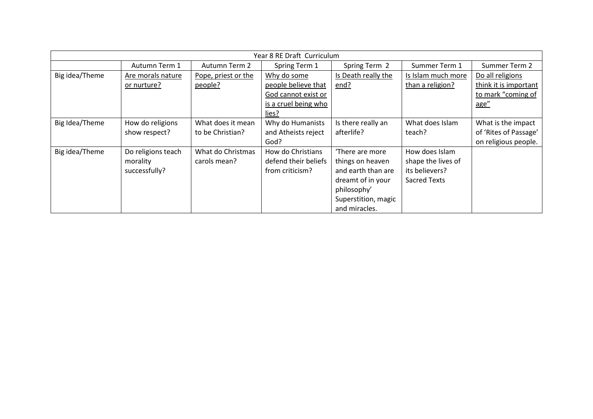| Year 8 RE Draft Curriculum |                    |                     |                      |                     |                     |                       |  |
|----------------------------|--------------------|---------------------|----------------------|---------------------|---------------------|-----------------------|--|
|                            | Autumn Term 1      | Autumn Term 2       | Spring Term 1        | Spring Term 2       | Summer Term 1       | Summer Term 2         |  |
| Big idea/Theme             | Are morals nature  | Pope, priest or the | Why do some          | Is Death really the | Is Islam much more  | Do all religions      |  |
|                            | or nurture?        | people?             | people believe that  | end?                | than a religion?    | think it is important |  |
|                            |                    |                     | God cannot exist or  |                     |                     | to mark "coming of    |  |
|                            |                    |                     | is a cruel being who |                     |                     | age"                  |  |
|                            |                    |                     | lies?                |                     |                     |                       |  |
| Big Idea/Theme             | How do religions   | What does it mean   | Why do Humanists     | Is there really an  | What does Islam     | What is the impact    |  |
|                            | show respect?      | to be Christian?    | and Atheists reject  | afterlife?          | teach?              | of 'Rites of Passage' |  |
|                            |                    |                     | God?                 |                     |                     | on religious people.  |  |
| Big idea/Theme             | Do religions teach | What do Christmas   | How do Christians    | 'There are more     | How does Islam      |                       |  |
|                            | morality           | carols mean?        | defend their beliefs | things on heaven    | shape the lives of  |                       |  |
|                            | successfully?      |                     | from criticism?      | and earth than are  | its believers?      |                       |  |
|                            |                    |                     |                      | dreamt of in your   | <b>Sacred Texts</b> |                       |  |
|                            |                    |                     |                      | philosophy'         |                     |                       |  |
|                            |                    |                     |                      | Superstition, magic |                     |                       |  |
|                            |                    |                     |                      | and miracles.       |                     |                       |  |